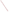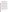## **SELECTING THE RIGHT TOOL FOR EVALUATIONS: GUIDANCE FOR COMMUNITY INVOLVEMENT PRACTITIONERS**

by Seth Tuler, Caron Chess, Susan Santos, Stentor Danielson and Thomas Webler

Community involvement is a priority for EPA, particularly in efforts to remediate contaminated sites. It is also emphasized in watershed management, environmental impact assessments and a range of other programs. Practitioners benefit from a large amount of guidance about how to plan and organize community involvement activities.

But, how often is community involvement evaluated? Not often enough (Chess 2000, EPA 2001, NRC 1996, NRC 2001). Evaluation is one of the seven steps in EPA's Public Involvement Policy[1](#page-1-0) and experienced practitioners know evaluation is important. But, when you are juggling a lot, and resources are limited, evaluation can be all too easy to drop. Often, evaluation is done informally, which can limit the usefulness of the feedback.

Evaluation of public participation is evolving and the subject of much discussion among practitioners and academics. In this article we provide guidance about evaluation that is informed by research (our own and others) as well as our EPA-sponsored study (see Box 1) in which we are exploring the usefulness of three evaluation tools or methods: surveys, focus groups and Q Method, a promising approach that some academics have been using.

For an overview of the three tools, see Box 2 (Guidance documents for focus groups and Q method were also produced as part of this project and can be downloaded at [www.seri-us.org/pubs/FGGuidance.pdf](http://www.seri-us.org/pubs/FGGuidance.pdf) & [www.seri-us.org/pubs/QMethodGuidance.pdf](http://www.seri-us.org/pubs/QMethodGuidance.pdf), respectively). Oftentimes interviews are used to gather feedback as well; in fact, in our project we used interviews to gather background information to inform and complement the focus groups and Q method approaches. In this paper, however, we do not discuss them further.

We describe some of their strengths and limitations and provide some suggestions about when to use them. Of course, a lot has been written about how to conduct focus groups and surveys (Morgan 1998, Patton 1987, Dillman 2000, Charnley and Engelbert 2005), and we don't cover a lot of those basics. Instead, after providing a brief rationale for evaluation, we explore the strengths and limitations of these evaluation tools, so that better decisions about what tool to use can be made. Our presentation is framed around three key questions:

 $\overline{a}$ 

<sup>1</sup> EPA's public involvement policy is available at

<span id="page-1-0"></span>[www.epa.gov/publicinvolvement/pdf/policy2003.pdf](https://www.epa.gov/publicinvolvement/pdf/policy2003.pdf) . A brochure about when and how to evaluate is available at http://www.epa.gov/publicinvolvement/brochures/evaluate.pdf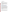- 1. What do you want to know?
- 2. Who do you most want to understand?
- 3. How will you use the information?

### **WHY EVALUATE?**

There are several reasons to evaluate community involvement efforts.

**Share lessons learned.** Evaluation can be conducted at the end of a project (such as a site remediation effort) to determine whether the community involvement effort was "successful" and whether other goals were achieved. This evaluation (termed "summative evaluation") is potentially useful to the agency and other participants to validate community involvement efforts and provide "lessons learned" for other community involvement projects (EPA 1999, Industrial Economics 2004).

### **Box 1. Overview of our project.**

EPA asked us to explore evaluation methods not only to benefit agencies but also to improve "community empowerment."

We conducted a study that explores how feedback can improve the quality of community involvement efforts and clean-up decisions at Superfund sites. The premise of our research is that effective methods for providing feedback can improve the exchange of information and interactions among different stakeholders including agencies, responsible parties, and local citizens. Improvements to information exchange and stakeholder interactions may ultimately lead to better clean-up decisions.

Our project has explored the strengths and weaknesses of three methods for getting feedback from those who participate in the Superfund clean-up process. We applied apply and critically examined each of these methods at two separate Superfund sites where there is an ongoing community involvement process. The first case study was of the Ciba-Geigy site in Toms River, New Jersey. The second case study was of the Waukegan Harbor Area of Concern in Illinois.

findings and how people felt about participating in focus groups, surveys, and Q method. In each case we had representatives of the community, government agencies, and potentially responsible parties give us feedback using the three methods. After the focus groups and Q sorts people filled out a written evaluation. In addition, after we gathered and analyzed the results, we presented the findings in each community to a "feedback group." The purpose of the feedback groups was to gather additional information about how the usefulness of the Participants in the feedback groups were highly involved community members and federal, state, and local agency staff.

For further details about the project and to download publications and presentations visit [www.seri](http://www.seri-us.org/projects/superfund.html)[us.org/projects/superfund.html](http://www.seri-us.org/projects/superfund.html) .

**Improve community involvement during the project**. Evaluation during a process, known as "formative evaluation," gives feedback throughout your project so you can improve it. The feedback can positively influence remediation efforts as well as community involvement, when preferences of stakeholders are revealed (Bradbury et al. 2003)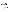## **Box 2: Overview of the three methods**

*Focus Groups:* A focus group is a carefully guided group discussion intended to generate a rich understanding of participants' experiences and beliefs. Focus groups are a proven research technique appropriate for a project that is exploratory and/or descriptive in nature (Morgan and Krueger 1998). They are particularly well suited to evaluation research (Morgan 1998). They are essentially group in-depth interviews with 8 to 12 individuals who are brought together at a location convenient and comfortable to them to discuss a particular topic under the direction of a trained moderator. Focus groups are an important way to listen to people, to learn about their views and concerns, or to explore topics of interest. The information generated in the focus group is the opinions expressed by group members in their own words. Participants in a focus group may have limited information on the specific topic or question to be explored or they may be quite familiar with the topic and issue. Focus groups can also be a useful tool when the subject matter is sensitive -- such as concerns over health or disagreements that might occur in the cleanup of hazardous waste sites.

Additional resources:

- Morgan, David L. & Richard A. Kruger 1998. *The Focus Group Kit* (6 volumes). Sage.
- Patton, Michael Quinn 1987. *How to Use Qualitative Methods in Evaluation*. Sage.

• Santos, S., Danielson, S., and Chess, C. 2007. Guidance on the use of focus groups for evaluation of public involvement programs at contaminated sites. Greenfield, MA: Social and and Environmental Research Institute. Available online at: [www.seri-us.org/pubs/FGGuidance.pdf](http://www.seri-us.org/pubs/FGGuidance.pdf) .

*Mail surveys:* Mail surveys are questionnaires sent out to a statistically representative sample of people in the population of interest – in this context, usually residents of the area around the site whose community involvement is being evaluated. Questions are usually quantitative, such as asking people to rate their agreement with statements on a scale of 1 to 7, or checking boxes for yes/no answers. In the context of a site cleanup, a survey usually aims at taking 15-20 minutes for the respondent to complete. Some respondents may have little to no knowledge about the site, and one of the main aims of a survey is often to explore the prevalence of ignorance about the site. The results can be analyzed with statistical tests like T-tests, correlations, ANOVA, or chi-squared. These simple tests can be done in a spreadsheet like Microsoft Excel. Additional resources:

- Dillman, D. A. 2000. *Mail and internet surveys: the tailored design method*. New York: John Wiley and Sons.
- Resources are available online at www.epa.gov/publicinvolvement/feedback/index.html

*Q Method:* Q method is a technique for revealing shared viewpoints that exist on an issue or topic. A study using Q method, often called a Q study, can be a useful way of evaluating a public involvement process because it clarifies the different views of various stakeholders about the process. It is also a useful way of assessing the different views of stakeholders about their preferences for particular outcomes or satisfaction with them. Q methodology, like the survey method, is a technique to explore peoples' subjective beliefs and attitudes. However, unlike a survey it allows participants far more flexibility to express their beliefs. Q method can help you go beyond the simple idea that some people are happy with the way things are while others are opposed, or the assumption that all people in a certain group think the same way. A Q method study begins by identifying all the things people are saying about the topic. From this, a sample of Q statements is strategically selected. People with clearly different opinions are asked to express opinions about the Q statements by sorting them, i.e. "doing a Q sort." Typically one or two dozen Q sorts are collected. The Q sorts are analyzed using statistical techniques that group together similar viewpoints. The product of that analysis is interpreted to define different viewpoints, or "social perspectives," among those in the group. We also learn how the individuals who did the Q sorts agree or disagree with these perspectives. Additional resources:

- Q Method website: http://qmethod.org. This website contains information about Q as well as links to join the Q Method listserv (a useful place to ask questions about doing Q) and to download the PQMethod and MQMethod programs.
- Brown, S. R. 1986. Q technique and method: principles and procedures. In Berry, W. D., and M. S. Lewis-Beck (ed.), *New tools for social scientists: advances and applications in research methods*. pp. 57-76. Beverly Hills, CA: Sage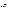**Gather feedback on process and outcomes**. We will side step the questions of the difference between community involvement process and outcomes (Webler and Tuler 2002, Chess and Purcell 1999). For example, some would see public education as part of the process and some would see it as an outcome. Regardless of what you call it, you can explore the effectiveness of facilitation, outreach mechanisms, forums, materials, etc. Or, you might want feedback on who is involved and why. In addition, you can gauge participants' satisfaction with remediation, trust in agencies, level of understanding…and the reasons behind them.

**Promote dialogue among stakeholders.** Discussion about the results of an evaluation effort can in itself be an important catalyst for of interaction between an agency, a community, and other stakeholders or parties. The process of evaluation provides opportunities for the agency and engaged participants to discuss issues – in a more structured way. An example of this was in the context of Department of Energy evaluations of Site-Specific Advisory Boards at nuclear weapons facilities (Bradbury et al. 1999, Bradbury et al. 2003).

Agencies have received anecdotal information about these and related issues for years. But evaluation can be more "scientific," formal, and systematic, with the attendant strengths and limitations.[2](#page-4-0)

## **WHAT DO YOU WANT TO KNOW?**

You never have enough time, money, (and participants' patience) to find out everything you would like to know. Often, you need to cut down your "want" list in half or even more. As researchers, we work backwards: what will be the most useful information for improving a situation or process? If the most important issue is how worried people are, we will spend less time focusing on the effectiveness of public meetings and more time trying to assess concerns. This seems obvious. But every time we can't figure out how to reduce the load, one of us remembers to ask: What do we really need to know? For

<span id="page-4-0"></span><sup>2</sup> Much of the information agencies receive is anecdotal (e.g., "several people came up to me after the meeting") or potentially biased ("A representative from the union or local Chamber of Commerce told me..."). Such information is not inconsequential. However, many professionals, who have spent their entire lives conducting evaluations, say it can be misleading and therefore dangerous. As those who study community involvement (including evaluation) as opposed to evaluators (who actually do the evaluations), we can see both sides of the issue. We have several thoughts on the issue. The evaluation should be in keeping with the scale of the community involvement effort (both in resources and geography) and the needs of the agencies and other participants. If the agency is going to scrutinize the results of the project, more than anecdotal evidence is called for. Potential for other forms of controversy, differences in cultures and ethnicities, and the weight of other factors that make community involvement especially difficult, may make formal evaluation very important. Regardless, don't get trapped into thinking that anecdotal evidence constitutes answers. Or that evaluation can be tacked onto the end of the community involvement effort (no more than community involvement can be effectively tacked on to the end of the remediation effort.) Or that you need a PhD to do it. Or conversely, that it is easy.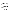examples of questions, see Boxes 3, 4, and 5.

Finding out what you need to know is not merely a matter of identifying key issues. We compared the information yielded by the three tools. We asked: what is different about the kinds of information we can find out from using focus groups, surveys, or Q method? If we asked about similar topics, would we find out similar things? We discuss some of our key findings below.

# Box 3. Types of questions asked in a focus group.

A comprehensive and well-structured discussion guide is essential for facilitating an interactive session that nets recomprenensive and went structured discussion galacters essential for radilitating an interactive session that help<br>valuable information. The guide spells out the topics that will be covered and provides a logical flow of valuable information. The galac spells oft the topics that will be covered and provides a legical now or questions<br>that are initially broad and open-ended to reduce the likelihood of biasing answers. Reponses are then foll mat are minimity produ and open bridge to rodded the intermided or blacking and their reported are then relief<br>probes to elicit more detail. The guide must also organize the time in a fashion that makes the focus group comfortable and interesting for participants. It is important to remember, however, that the guide is *not a script*. A skilled moderator will use it as a guide, exploring or further probing the comments participants make an skilled moderator will use it as a guide, exploring or further probing the comments participants make and manage<br>the dynamics of a group as necessary the dynamics of a group as necessary.

 $\frac{1}{2}$  are example questions from a discussion quide for officials (including local and state officials (including local and state officials (including local and state officials (including local and state officials (in The following are example questions from a discussion guide for officials (including local and state officials and<br>200001.51ft) agency staff).

Moderator: As I said earlier, we want to talk about community involvement in the clean up process at the modorator. The Foald banier, we want to take about commany invervenient in the clear up process at the liferent<br>Waukegan Harbor Area of Concern and Waukegan River Watershed. I'd first like to ask what are the different to ask what are the different environmental problems/issues that need to be addressed in the environmental problems/issues that need to be addressed in the clean up of the Waukegan AOC and watershed.

- What can you tell me about the different things being done to address some of these concerns? [Probe for what can you tell me about the different things being done to address some of these concern.<br>comments on separate clean up initiatives, studies, etc]
- concerns operate clean up initiatives, studies, etc]<br>in vou board/loarned obout these things [probe for courses, enceifie groups, in • How have you heard/learned about these things [probe for sources, specific groups, individuals, agencies<br>We modia etc.]  $\alpha$ , and  $\alpha$ , and  $\alpha$ vs. media, etc.]

Moderator: Before we talk more about some of the things you have mentioned, I'd like to talk a specifically about some of the opportunities and ways that different stakeholder groups have been involved in the little more specifically about some of the opportunities and ways that different stakeholder groups clean up process [and decisions about re-use] for the AOC and watershed. Moderator: Before we talk more about some of the things you have mentioned, I'd like to talk a little more

- What are some of the different stakeholder opinions or concerns about the different clean up initiatives what are some of the unferent stakeholder opinions or concerns about the unferent clean up finitiative that a<br>that are occurring? [probe for specific concerns differentiate clean up from re-use issues]. Is that a • What are some of the different stakeholder opinions or concerns about the different clean concern you think is shared by other stakeholder groups? Which ones? Are you aware of those who<br>might have a different perspective? might have a different perspective?
- Inight have a allefort perspective:<br>• What types of opportunities/activities exist regarding the Waukegan Harbor Area of Concern and what types or opportunities/activities exist regarding the wadkegan Franco Area or concern and<br>Waukegan River Watershed for people to learn about the various environmental issues and different clean waakegan Hiver watershed for people to fearn about the vancas environmental issues and<br>up [and re-use?] initiatives]? [Moderator will list on flip chart]
- Concern and Waukegan River Watership of the various to the various to learn the various to learn about the vari<br>Disk meet needle in the community are overe of these? Which enes would you • Do you think most people in the community are aware of these? Which ones would you say they are least most people in the community are aware of these? Which ones would you say they are least/most aware of? Can you give me an example?

Moderator: Before we talk more about some of the things you have mentioned, I'd like to talk a little more **Superifically** about some of the information or activities that have existed/exist for community involvement?

- What types of CI activities are people aware of? Has anyone participated in any activities (moderator will probe for the following: Public meetings? Public Availability Sessions? Technical Review meetings, site tours, comment on documents, etc). How did you find out about these activities/opportunities?
- Have your expectations or needs related to CI ever changed? How/why? Did that ever get communicated to EPA/PRP/Other? If so, was there a corresponding change in the CI activities to meet them?

**Focus Groups**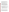*Focus groups can provide a rich and in-depth understanding of viewpoints.* The moderator can probe for additional information about priorities and preferences of focus group participants. Group dynamics can lead to deeper and richer information being discussed. New lines of inquiry can emerge. In fact, you can even ask about the fundamental purpose of the community involvement effort.

For example, in Toms River, New Jersey, we found that the focus group of highly engaged participants saw the primary purpose of community involvement as keeping the officials and agencies "at the table" to reach agreement. Participants also saw this as a way to educate the agencies to facilitate better decisions.

*Focus groups can provide insights into participants' views about the specifics of a community involvement process.* For example, we learned in Toms River that uninvolved residents thought a community advisory group would be helpful but those who were highly engaged did not see it as useful at this stage of the remediation. We also learned that the experience of a failed remediation at a nearby site led people in a focus group of highly involved participants to be somewhat skeptical of the chosen remedies at the Ciba Geigy site. On the other hand, while participants in a focus group of "officials" acknowledged such concerns they did not see community outreach efforts as being able to address them and they discounted comparisons between the two sites.

## **Box 4. Types of questions asked in a survey.**

The following are some of the questions we asked in our survey for the Waukegan Harbor Area of Concern case study. After each of the questions a list of options were provided and the respondent was asked to rank the familiarity, satisfaction, etc. on a 6-point scale.

- Compared to all of the other issues facing Waukegan, how important do you think the harbor cleanup is?
- The overall harbor cleanup is made up of several connected parts. How familiar are you with the different components of the harbor cleanup?
- How satisfied are you with the progress of the cleanup of each of these parts of the harbor cleanup? Check "D/K" if you don't know what progress is being made on a part of the cleanup.
- How have you have learned about the harbor cleanup? (Check all that apply)
- How would you prefer to receive site information? (Check the ONE you most prefer)
- How interested are you in obtaining information about the following topics? (Circle one answer for each question)
- What is the best way to get your participation? (Check the ONE you most prefer)

#### **Surveys**

*Surveys provide data about specific topics.* For example, our surveys asked respondents for their sources of information, as shown in Box 6. Based on these responses, evaluators can assess whether their efforts are reaching people including whether there are differences among specific subgroups in the population (e.g., Caucasian vs. Latino residents). These results suggest that newspapers are a much more important source of information about the harbor for Latinos than for Caucasians. However, the survey does not tell you why. It also cannot tell you how people feel about a particular source of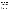information – if they trust it or if they understand it. Nor can it tell you anything about the quality of the information provided by the source. A focus group could tell you a lot about what a few people feel about the news coverage of the harbor area.

*Because surveys ask about specific topics, important concerns, problems, or ideas may be missed.* For example, we asked about people's preferences about how to obtain information concerning remediation activities, including preferences for "presentations at local clubs and organizations." We could not find out from the survey results that some segments of the Latino population were most likely to go to the social clubs. Instead, the focus group was the source of that insight. Surveys ask questions evaluators think are important, but evaluators might miss important questions.

#### **Box 5. Types of questions asked in Q Method.**

The sorting instruction defines the context in which the Q participant's perspective is being sought. For example, one sorting instruction might ask the person to sort the statements based on how well each statement describes the actual situation, while another may ask the person to sort the statements based on how well each describes how they would like things to be. If you are evaluating an on-going process then your sorting instruction should specify whether people should be giving their views on the things that have happened so far or on what should happen moving forward. For our case studies at Ciba-Geigy and Waukegan Harbor we had each person conduct two Q sorts – one about the public involvement process and one about the clean-up outcomes. The sorting instructions we used at Ciba-Geigy were:

Process: When you think about where the process is now, what should happen next? Sort the statements according to most like I think the process needs to be to least like I think the process needs to be.

Outcomes: When you think about the remediation of the Toms River Ciba Geigy site, what do you think about what has been done in the past and is being done currently? Sort the statements according to most like I think to least like I think.

#### **Q Method**

*Q method provides a holistic representation of people's views on a topic and the relative importance of those views.* However, the evaluator must choose in advance to ask about certain issues—which are the basis of the Q statements that respondents prioritize. Thus, Q shares some of the same limitations of surveys. For example, like the survey our Q statements did not include anything about the use of social clubs (or churches) to reach the Latino community in Waukegan. Therefore, we could not find out anything about the relative benefits of clubs versus churches. Even if we included a statement about this issue, we might not learn much. For example, suppose we included the following statement: "Social clubs should be used for outreach to the Latino community." This statement may not have been ranked among the "most important" by enough respondents for it to become a distinguishing statement in any of the perspectives that emerged. It would be unlikely that its relevance and importance would be understood by the evaluator. This means that evaluators may not learn about some important issues if they do not know to ask. As one participant told us, he felt "captive of the statements."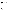*Q can more dramatically highlight differences among perspectives than either focus groups or surveys.* Q requires each person to rank the same set of statements. In addition, people prioritize statements without the potential for the 'bandwagon effect' that can be found in groups and which can hide differences. Also, people may reveal more outside of the group setting. For example, despite the trusting relationships in Toms River, we found two different perspectives about desired outcomes. People associated with one perspective are more concerned about the current bioremediation and groundwater treatment efforts. They also feel that the air monitoring system is adequate and that the air monitors are state-of-the-art. The second perspective is most concerned with drums in a nearby landfill that is not slated for remediation. Respondents associated with this view also fear that the air monitoring systems at the current site are not

adequate and that the community may not be appropriately warned in case of an emergency.

|                                  | All respondents |           | Latino         |           | Caucasian      |           | $\overline{X^2}$ for Latino vs.<br>Caucasian |
|----------------------------------|-----------------|-----------|----------------|-----------|----------------|-----------|----------------------------------------------|
|                                  | Yes             | <b>No</b> | Yes            | <b>No</b> | Yes            | <b>No</b> |                                              |
| a. Mailings from the             |                 |           |                |           |                |           |                                              |
| responsible agencies             | 28              | 93        | 14             | 29        | 10             | 49        | 0.066                                        |
| b. Mailings from the             |                 |           |                |           |                |           |                                              |
| <b>Community Advisory Group</b>  |                 |           |                |           |                |           |                                              |
| (CAG)                            | 25              | 95        | 11             | 33        | 10             | 47        | <b>NS</b>                                    |
| c. Newspaper articles            | 91              | 32        | 26             | 18        | 48             | 11        | 0.013                                        |
| d. Radio or TV news              | 62              | 61        | 20             | 24        | 31             | 29        | <b>NS</b>                                    |
| e. Family or friends             | 66              | 55        | 21             | 23        | 30             | 28        | <b>NS</b>                                    |
| f. The internet                  | 23              | 96        | $\overline{7}$ | 35        | 10             | 49        | <b>NS</b>                                    |
| g. Public meeting or             |                 |           |                |           |                |           |                                              |
| information session              | 14              | 104       | 4              | 38        | $\overline{7}$ | 51        | <b>NS</b>                                    |
| h. Direct conversation with      |                 |           |                |           |                |           |                                              |
| someone from the responsible     |                 |           |                |           |                |           |                                              |
| agencies                         | 15              | 105       | 5              | 38        | 5              | 53        | <b>NS</b>                                    |
| i. Direct conversation with      |                 |           |                |           |                |           |                                              |
| someone from the CAG             | 9               | 110       | $\overline{2}$ | 40        | $\overline{c}$ | 56        | <b>NS</b>                                    |
| j. Information about the         |                 |           |                |           |                |           |                                              |
| lakefront is "common             |                 |           |                |           |                |           |                                              |
| knowledge"                       | 42              | 77        | 17             | 26        | 15             | 42        | <b>NS</b>                                    |
| k. Know someone who worked       |                 |           |                |           |                |           |                                              |
| at the lakefront                 | 23              | 97        | 5              | 38        | 11             | 47        | <b>NS</b>                                    |
| I. Participation on one or more  |                 |           |                |           |                |           |                                              |
| citizen groups                   | 12              | 109       | 4              | 40        | 4              | 54        | <b>NS</b>                                    |
| m. Events at the school (either  |                 |           |                |           |                |           |                                              |
| directly or through your school- |                 |           |                |           |                |           |                                              |
| age children)                    | 16              | 103       | 10             | 33        | 3              | 54        | 0.008                                        |

|                     |  |  | Box 6. Number of 'yes' and 'no' responses regarding past sources of information (Waukegan |
|---------------------|--|--|-------------------------------------------------------------------------------------------|
| Harbor AOC survey). |  |  |                                                                                           |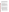Q also can reveal conflicts about process. For example, in the Waukegan Harbor case study we found a few points of strong disagreement between the two perspectives. Both perspectives strongly endorsed having clear standards for remediation. But, one perspective saw the importance of asking for public preferences, while it was rejected fairly strongly by those who were members of the second perspective. Respondents associated with the second perspective feel strongly that community involvement may delay the process and cost agency personnel too much time that could be spent solving problems.

## **WHO DO YOU MOST WANT TO UNDERSTAND?**

There are many people who may be interested in or affected by a community involvement process and site remediation decisions. Sometimes it is useful to gather feedback about how the entire community feels. In other cases, you may want to target your efforts to gather feedback about specific groups within a community. There are a number of possibilities, including the general public, highly involved community members, environmental justice populations, local elected officials, staff of local government agencies, staff of state and federal agencies, etc. There may also be great diversity within some of these categories. For example, the general public can include people who live within a certain radius of a site, who have attended prior events (e.g., public meetings), or whose native language is not English.

Our project explored what we could learn about various groups using the three different tools. While in theory any of the tools could have been used for the same groups – some tools are better suited to learning about particular people. We asked: what groups are the tools most useful for gathering feedback from? We discuss some of our key findings below.

## **Focus Groups**

*Focus groups gather feedback from a wide range of stakeholders. But some people may not feel comfortable sharing their views in a group.* Participation in a group of "similar folks" can make some more comfortable about sharing their views. However, others are more reluctant to speak publicly. This is not merely shyness. We found, for example, that elected officials were less likely to attend a focus group and speak openly in what is essentially a public venue. Similarly, discussion in a focus group may be hampered by the presence of staff from the agency sponsoring the community involvement effort or from the responsible party. Some people may not be used to anyone asking them what they think or may not have experience with similar forums. This may or may not be an impediment, as the following quote from a Latino leader in Waukegan illustrates:

They [Latinos] didn't know at the beginning what is a focus group. They thought the facilitator would answer their questions. It took time for them to figure out that facilitator wanted to know what they think. They are not used to that, it was a positive experience for them. They learned a lot. They got in touch with their feelings, what else they want to learn. They got to hear what neighbors think. [It was] very positive.

*Focus groups can be challenging if there are significant conflicts among participants in the same group*. For example, according to participants in our Tom's River case study,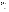when the remediation began, focus groups would have been problematic because of the level of conflict among some people. However, after spending years dealing with the site, opponents developed better relationships and could discuss issues openly in a focus group. There is also a risk that members may sidestep conflicts and underlying problems may never surface. On the other hand, they also felt a skilled moderator might be able to create a safe enough environment for discussion. Another option is to organize the groups carefully so that people with conflicts are not present in the same focus group; the key is not to have too many extremes in a single group.

*Focus groups may not attract the uninvolved or uninterested.* They may not want to invest their time*.* However, civic organizations have been known to recruit members for focus groups in exchange for a contribution to their organization. In this case, their sense of community overcomes their apathy about the topic. Another strategy to overcome this obstacle is to frame the focus group discussion in a broader context. For example, rather than say "come to a group to discuss community relations at the site," you might invite people to come talk about issues of importance to their community.

#### **Surveys**

*Surveys gather information from a broad sample of people, but obtaining a representative sample can be challenging.* . Decisions must be made in advance, for example, if race, gender, ethnicity, proximity to the site, or other characteristics are important to consider. If so, the sample must be designed so that adequate responses are obtained from each sub-group of interest.

In Waukegan we needed to make sure that we adequately sampled the Latino population, which used the waterfront but was relatively uninvolved in making decisions about the remediation. For example, when comparing Caucasian respondents with Latinos, Latinos were more likely to have heard about the site through school meetings. The differences were large and statistically significant. This suggests that outreach via schools is a good way to reach members of the Latino community. Caucasians were statistically more likely to have learned about the remediation activities from newspaper articles than Latinos.

*Surveys can be effective with the uninvolved or uninterested.* In our two cases, surveys worked well to gather information from people who had otherwise not participated in site remediation activities (including community involvement activities; also see Charnley and Engelbert 2005). For example, in the Waukegan Harbor case we found that many of our respondents were not engaged with the remediation or community involvement activities, yet they returned completed surveys (see Box 7).

*Surveys require an appropriate response rate.* While researchers may argue about what constitutes a reasonable response rate, they will all agree that a survey with a low response rate is likely to be biased or otherwise invalid (Dillman 2000). If the response rate is low, generalizing the results to the full population is inappropriate. You are unlikely to know what kind of people failed to respond to your survey. Was it the harried moms? Or, people who live further from the site? The usefulness of survey results is very dependent on who responds to the survey. If despite best efforts responses are not obtained from a certain group, say families with young children, the results will say very little about how that group thinks or about how that group's thinking differs from others in the population. For example, our survey is Waukegan was appropriately criticized for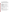Box 7. Surveys may be a good way to reach the uninvolved.

The responses to our survey in Waukegan indicate that people generally feel themselves to be uninformed about issues that might affect their concerns about risks. We asked "The cleanup effort addresses contamination and environmental health risks from several different sites through a variety of activities. How familiar are you with each of these activities?" A relatively large number of surveys were returned without a response to this question or with a response of "Don't know." Latino respondents were much more likely to not response or to indicate "Don't know." Thus, lack of knowledge did not preclude their completing the survey.

| <b>Question 4</b>                               |             |        |           |
|-------------------------------------------------|-------------|--------|-----------|
|                                                 | All         |        |           |
|                                                 | respondents | Latino | Caucasian |
| a. Dredging of the harbor                       | 8%          | 16%    | 5%        |
| b. Cleanup of the OMC Superfund site            | 11%         | 22%    | 5%        |
| c. Cleanup of the Johns Manville Superfund site | 13%         | 29%    | 5%        |
| d. Cleanup of the Yeoman Creek Superfund site   | 12%         | 24%    | 5%        |
| e. Planning for the Waukegan River watershed    | 14%         | 31%    | 5%        |
| f. Revitalization of downtown Waukegan          | 10%         | 22%    | 3%        |
| g. Redevelopment of the Waukegan harbor area    | 11%         | 22%    | 5%        |
| h. Development of recreational facilities       | 11%         | 24%    | 3%        |
| i. Cleanup of beach areas                       | 10%         | 20%    | 5%        |
| i. Delisting of Waukegan Harbor                 | 15%         | 31%    | 8%        |

The results also indicate that people do not appear to be familiar with government agencies or other groups involved in the remediation effort, as shown in the Table below. It is not just that they are unfamiliar with these groups – they are also not familiar with what is being done to remediate the sites and the lakefront area.

#### **Table 3. Question 6: Familiarity with different government agencies and groups involved in the clean-up effort in the Waukegan lakefront area. (scale: 1 = very unfamiliar, 6 = very familiar).**

|                                      | All         | Latino | Caucasian |
|--------------------------------------|-------------|--------|-----------|
|                                      | respondents |        |           |
| a. US EPA                            | 2.9         | 2.7    | 2.8       |
| b. Illinois EPA                      | 2.9         | 2.6    | 2.8       |
| c. Lake County Health Department     | 3.0         | 2.6    | 2.8       |
| d. City of Waukegan                  | 3.2         | 2.8    | 3.1       |
| e. Waukegan Harbor Citizens Advisory |             |        |           |
| Group                                | 2.8         | 2.6    | 2.5       |
| f. Waukegan Main Street              | 3.0         | 2.9    | 2.9       |
| g. US Congressman Mark Kirk          | 3.1         | 2.6    | 3.1       |

While data in the two tables reveal that people were unfamiliar with clean-up activities or groups involved in the remediation effort, they still responded to the survey. It would have been a challenge (but not impossible) to invite such people to participate in an evaluation based on Q method or focus groups.

Because we asked respondents to indicate their race, we know our response rate for this group was not representative of their actual numbers in the population.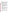## **Q Method**

*Q method is useful for gathering information from people with a broad range of perspectives. But, as with focus groups, if you don't know the community, you can fail to identify important perspectives.* When using Q method (and focus groups) the evaluators must develop a sense about the variation in views among the population of interest – and why these differences are likely to exist. For example, institutional affiliation and group membership are often used as an indicator for different points of view – but they may not be an accurate predictor of meaningful differences about preferences for community involvement. Neither may race, gender, etc. The differences may arise from fundamental values about, for example,

democratic participation or the role of expertise in decision-making. Unlike surveys, Q method allows you to involve additional participants that you have previously overlooked so that you can adapt as you learn more.

*Q method does not effectively elicit opinions of people who are uninvolved or uninterested in the process or site remediation.* If people are uninvolved or not interested, they are unlikely to have strong opinions about the statements, so it will be hard for them to express clear preferences. They are also less likely to enjoy the process. Sorting Q statements can be challenging and some people reported not liking to have to make choices about how to rank statements. Others enjoyed the process tremendously. We heard from some of our participants it would be hard to get other people in the community to spend time doing a Q sort and that "you need something, some knowledge first to do Q. You cannot just do it."

However, we have found that in exchange for a contribution to their organization some people can be motivated to spend their time doing a Q sort.

## **HOW WILL THE INFORMATION BE USED?**

The goal of an evaluation should be to gather feedback that can make a difference. But, there can be many purposes for an evaluation. Tools may be better suited for some purposes than others. Focus group data cannot be easily condensed to a graph, as can surveys. Conversely, graphs don't speak to everyone, while information from focus groups is relatively easy to understand. Similarly, if an agency wants to compare data across sites, quantitative data can be easier to represent. Q method by virtue of its uniqueness can attract attention when others do not.

In this section we discuss differences in the kind of information that is produced by each tool, and how that affects how the information can be used. In addition, we found that the tools elicited different ideas about how they can be used to engage and empower community residents and support outreach efforts.

#### **Focus Groups**

*Focus groups provide qualitative information that can be easily interpreted by a wide range of audiences.* They have a certain "face validity". Focus group findings are usually reported in the own words of the participants. When we presented the results of our focus groups, participants found it easy to understand the results. Use of narrative quotes made the findings more salient.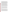*On the other hand, focus group results can be difficult to compare systematically.* Data derived from different groups and within groups may be a challenge to compare systematically. Comparability depends to a great extent on the moderator, who can direct the participants in different groups to discuss the same topics. But it is often the case that different groups will discuss different content, even if the same general topics are raised by the moderator. For example, one group's discussion about access to data might focus on fairness and trust, another on limitations of the data. This can happen because a participant may be responding to the specifics of what another person said, and the same issues will not necessarily be discussed in each focus group or by all the people within the same focus group. Lack of comparability may also result because of a purposeful decision by the moderator – to explore, for example, an issue that was not included initially in the discussion guide but was raised by participants in one of the groups. Thus, information obtained may not be consistent across groups.

*Focus groups provide an opportunity for people to meet and learn, which can be particularly important for people that have been uninvolved.* Participants in both of our case studies noted this benefit. In Toms River one person told us that "focus groups promote a lot of give and take among participants – generate ideas and new thoughts. But there is a danger of opening up animosities." In Waukegan we were told that "people left the focus group asking" 'what is next'? We had their interest, awareness, they wanted to know what they can do now." Participants in the Spanish language focus group felt more strongly that the focus group stimulated their thinking about remediation options than did participants in the other groups. In Toms River participants found the focus groups stimulated their thinking and provided a sense of how others think.

#### **Surveys**

*Surveys provide quantitative measures of responses that facilitate comparison and they can provide information that is generalizable to the larger population of interest*. In a survey people respond to the same set of questions and response options. When enough responses are obtained it is possible to make claims about the general population of interest as long as the sample is not biased, as we discussed above.

*Surveys provide an opportunity for outreach.* This was a point made in our feedback groups, and by written comments on some surveys. For example, participants in our feedback groups told that the questions were a good way to spark learning and that the "process of doing survey may perk interest among those that have yet to be very involved."

## **Q Method**

*While Q method facilitates both quantitative and qualitative comparisons of perspectives about community involvement and about specific process features, the method does not allow claims to be made about how many people hold those perspectives.* In Q method everyone who participates responds to the same questions and must express their preferences in the same way. This allows comparisons to be systematic. However, Q method is not geared toward gathering data from representative samples of respondents (like focus groups). Instead, the approach is used to find differences among people with different perspectives; it works best when data are gathered from people representing all the important perspectives in the population of interest. But, because of the small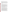number of people providing data, the prevalence of the perspectives cannot be determined.

*Q method can help individuals think about what is important to them because the process forces them to make choices about their preferences.* For example, people often report that the effort stimulates their thinking. However, not everyone thinks so. When asked about this issue in the questionnaire completed after doing a Q sort, we found that Q sort participants in both Toms River and Waukegan were divided as to whether the group Q sorts stimulated their thinking about the community involvement process or the remediation options.

#### *Conclusion*

While *ad hoc*, informal evaluation is often done, more systematic efforts are usually called for. They are more likely to produce "useable knowledge" and build a basis for making improvements.

There can be a bias toward gathering as much information as possible. Our cautionary note, however, is to be selective. Focus on what will help make specific kinds of improvements – what is useful for your particular purpose.

Many tools, or methods, can be used to gather such information. They form a kind of tool-kit. Practitioners should be clear about their choices, considering the trade-offs of each. In this article we have presented information about three effective tools that can be used to gather feedback about community involvement efforts and people's preferences for outcomes: focus groups, surveys, and Q method. Other evaluation tools, such as one-on-one interviews, should also be considered and can be readily incorporated into the other methods. Being systematic in whatever approach is selected is important to ensure results are robust and credible.

Usually, you will not be facing an either-or choice. In fact, adopting a multi-method approach can be very useful. There are three reasons.

First, information gathered using one method may inform further evaluation using a second method. You can use focus groups (or interviews) to generate statements for Q method or identify important questions to ask in a survey. In our project we did background interviews in each case to identify statements for the Q study.

Second, one approach may be better suited for a particular moment in time. For example, interviews may be useful at the beginning of a process, because they will help you build relationships with key people. Focus groups can also be used effectively midstream to give you a broad feel for what is working, what's not, and enable you to make changes. Q method is not going to be an effective tool unless people have gained experiences they can reflect on. Later in the process it can be used to uncover differences that might be critical to moving forward with remediation decisions or to refine community involvement efforts to address possible roadblocks.

Third, the methods work well in gathering feedback from some groups, but not so well with other groups. For example, focus groups and Q method are very effective for gathering input from people that are really engaged in the process – people that have strong opinions. Focus groups allow such people to give meaningful input. Q method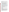works best with people who have rich experience to inform their preference about statements. Of course, focus groups can also be a useful way of gathering input from less involved people. Surveys are also effective in gathering feedback from the hard to reach, disinterested, or uninvolved.

#### **References**

- Bradbury, J. and Branch, K. 1999. *An evaluation of the effectiveness of local site-specific advisory boards for U.S. Department of Energy Environmental Restoration Programs*. Report PNNL-12139. Washington, DC: Pacific Northwest National Laboratory.
- Bradbury, J., Branch, K., and Malone, E. 2003. *An evaluation of DOE-EM public participation programs. Report prepared for the DOE Environmental Management Program*. Report PNNL-14200. Washington, DC: Pacific Northwest National Laboratory.
- Chess, C. 2000. Evaluating environmental public participation: Methodological questions, *Journal of Environmental Planning and Management* 43 (6): 769-784.
- Chess, C. and Purcell, K. 1999. Public Participation and the Environment: Do We Know What Works?, *Environmental Science and Technology* Vol. 33 No. 16, pp. 2685-2692.
- Dillman, D. A. 2000. *Mail and internet surveys: the tailored design method*. New York: John Wiley and Sons.
- EPA 1999. *Lessons learned about Superfund community involvement*. Available at [www.epa.gov/superfund/programs/reforms/docs/leslrncomplete.pdf](https://www.epa.gov/superfund/programs/reforms/docs/leslrncomplete.pdf) .
- EPA 2001. *Lessons learned, barriers, and innovative approaches office of policy economics and innovation*. January 2001. Available on the web at: [www.epa.gov/stakeholders/pdf/sipp.pdf](https://www.epa.gov/stakeholders/pdf/sipp.pdf)
- Industrial Economics 2004. *Program evaluation: An internal review of procedures for community involvement in Superfund risk assessments*. Report Prepared For The Office Of Solid Waste And Emergency Response, Environmental Protection Agency. Cambridge, Ma: Industrial Economics, Inc.

Morgan, David L. & Richard A. Kruger 1998. *The Focus Group Kit* (6 volumes). Sage.

National Research Council 1996. *Understanding risk: Informing decisions in a democratic society*. Washington, DC: National Academy Press.

National Research Council 2001. *A risk management strategy for PCB-contaminated sediments*. Washington, DC: National Academy Press.

Patton, Michael Quinn 1987. *How to Use Qualitative Methods in Evaluation*. Sage.

Webler, T. And Tuler, S. 2002. Unlocking the Puzzle of Public Participation. *Bulletin of Science, Technology, & Society.* 22(3):179-189.

#### **Acknowledgements**

This research was made possible by EPA Cooperative Agreement 831219-01-3. We would like to thank the citizens of the case study areas and staff from EPA who shared their time and knowledge.

#### **About the Authors**

 *Seth Tuler*, a Senior Researcher at the Social and Environmental Research Institute in Greenfield, MA, has published extensively on public participation and evaluation in a variety of policy domains and seeks to apply the lessons of research to clean-up of sites contaminated by the US nuclear weapons complex.

 *Caron Chess*, an associate professor at Rutgers University's Department of Human Ecology, has published widely on evaluation and whose experience in academia, government, and environmental advocacy underpins her research in risk communication and public participation.

 *Susan Santos*, an internationally recognized expert in risk communication, is founder and principal of FOCUS GROUP in Medford, MA, a consultancy specializing in risk communication, community relations, and health and environmental management.

 *Stentor Danielson* recently completed his Ph.D. at Clark University's Department of Geography on Discourses About Wildfire in New Jersey and New South Wales, using both surveys and Q method.